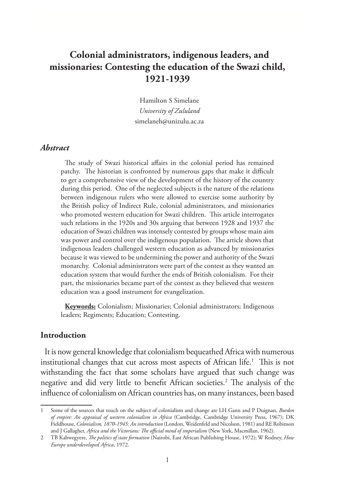# **Colonial administrators, indigenous leaders, and missionaries: Contesting the education of the Swazi child, 1921-1939**

Hamilton S Simelane *University of Zululand* simelaneh@unizulu.ac.za

#### *Abstract*

The study of Swazi historical affairs in the colonial period has remained patchy. The historian is confronted by numerous gaps that make it difficult to get a comprehensive view of the development of the history of the country during this period. One of the neglected subjects is the nature of the relations between indigenous rulers who were allowed to exercise some authority by the British policy of Indirect Rule, colonial administrators, and missionaries who promoted western education for Swazi children. This article interrogates such relations in the 1920s and 30s arguing that between 1928 and 1937 the education of Swazi children was intensely contested by groups whose main aim was power and control over the indigenous population. The article shows that indigenous leaders challenged western education as advanced by missionaries because it was viewed to be undermining the power and authority of the Swazi monarchy. Colonial administrators were part of the contest as they wanted an education system that would further the ends of British colonialism. For their part, the missionaries became part of the contest as they believed that western education was a good instrument for evangelization.

**Keywords:** Colonialism; Missionaries; Colonial administrators; Indigenous leaders; Regiments; Education; Contesting.

## **Introduction**

It is now general knowledge that colonialism bequeathed Africa with numerous institutional changes that cut across most aspects of African life.<sup>1</sup> This is not withstanding the fact that some scholars have argued that such change was negative and did very little to benefit African societies.<sup>2</sup> The analysis of the influence of colonialism on African countries has, on many instances, been based

<sup>1</sup> Some of the sources that touch on the subject of colonialism and change are LH Gann and P Duignan, *Burden of empire: An appraisal of western colonialism in Africa* (Cambridge, Cambridge University Press, 1967); DK Fieldhouse, *Colonialism, 1870-1945: An introduction* (London, Weidenfeld and Nicolson, 1981) and RE Robinson and J Gallagher, *Africa and the Victorians: The official mind of imperialism* (New York, Macmillan, 1962).

<sup>2</sup> TB Kabwegyere, *The politics of state formation* (Nairobi, East African Publishing House, 1972); W Rodney, *How Europe underdeveloped Africa*, 1972.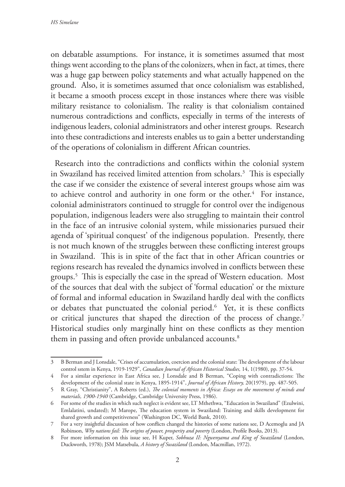on debatable assumptions. For instance, it is sometimes assumed that most things went according to the plans of the colonizers, when in fact, at times, there was a huge gap between policy statements and what actually happened on the ground. Also, it is sometimes assumed that once colonialism was established, it became a smooth process except in those instances where there was visible military resistance to colonialism. The reality is that colonialism contained numerous contradictions and conflicts, especially in terms of the interests of indigenous leaders, colonial administrators and other interest groups. Research into these contradictions and interests enables us to gain a better understanding of the operations of colonialism in different African countries.

Research into the contradictions and conflicts within the colonial system in Swaziland has received limited attention from scholars.3 This is especially the case if we consider the existence of several interest groups whose aim was to achieve control and authority in one form or the other.<sup>4</sup> For instance, colonial administrators continued to struggle for control over the indigenous population, indigenous leaders were also struggling to maintain their control in the face of an intrusive colonial system, while missionaries pursued their agenda of 'spiritual conquest' of the indigenous population. Presently, there is not much known of the struggles between these conflicting interest groups in Swaziland. This is in spite of the fact that in other African countries or regions research has revealed the dynamics involved in conflicts between these groups.5 This is especially the case in the spread of Western education. Most of the sources that deal with the subject of 'formal education' or the mixture of formal and informal education in Swaziland hardly deal with the conflicts or debates that punctuated the colonial period.<sup>6</sup> Yet, it is these conflicts or critical junctures that shaped the direction of the process of change.7 Historical studies only marginally hint on these conflicts as they mention them in passing and often provide unbalanced accounts.<sup>8</sup>

<sup>3</sup> B Berman and J Lonsdale, "Crises of accumulation, coercion and the colonial state: The development of the labour control sstem in Kenya, 1919-1929", *Canadian Journal of African Historical Studies,* 14, 1(1980), pp. 37-54.

<sup>4</sup> For a similar experience in East Africa see, J Lonsdale and B Berman, "Coping with contradictions: The development of the colonial state in Kenya, 1895-1914", *Journal of African History,* 20(1979), pp. 487-505.

<sup>5</sup> R Gray, "Christianity", A Roberts (ed.), *The colonial moments in Africa: Essays on the movement of minds and materials, 1900-1940* (Cambridge, Cambridge University Press, 1986).

<sup>6</sup> For some of the studies in which such neglect is evident see, LT Mthethwa, "Education in Swaziland" (Ezulwini, Emlalatini, undated); M Marope, The education system in Swaziland: Training and skills development for shared growth and competitiveness" (Washington DC, World Bank, 2010).

<sup>7</sup> For a very insightful discussion of how conflicts changed the histories of some nations see, D Acemoglu and JA Robinson, *Why nations fail: The origins of power, prosperity and poverty* (London, Profile Books, 2013).

<sup>8</sup> For more information on this issue see, H Kuper, *Sobhuza II: Ngwenyama and King of Swaziland* (London, Duckworth, 1978); JSM Matsebula, *A history of Swaziland* (London, Macmillan, 1972).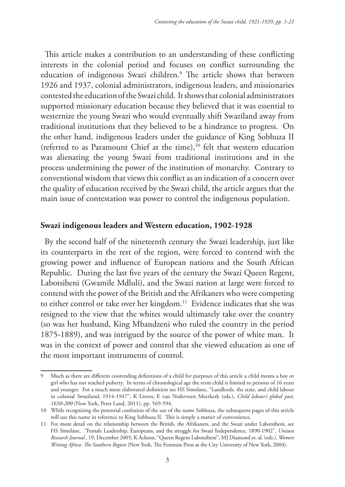This article makes a contribution to an understanding of these conflicting interests in the colonial period and focuses on conflict surrounding the education of indigenous Swazi children.9 The article shows that between 1926 and 1937, colonial administrators, indigenous leaders, and missionaries contested the education of the Swazi child. It shows that colonial administrators supported missionary education because they believed that it was essential to westernize the young Swazi who would eventually shift Swaziland away from traditional institutions that they believed to be a hindrance to progress. On the other hand, indigenous leaders under the guidance of King Sobhuza II (referred to as Paramount Chief at the time), $10$  felt that western education was alienating the young Swazi from traditional institutions and in the process undermining the power of the institution of monarchy. Contrary to conventional wisdom that views this conflict as an indication of a concern over the quality of education received by the Swazi child, the article argues that the main issue of contestation was power to control the indigenous population.

#### **Swazi indigenous leaders and Western education, 1902-1928**

By the second half of the nineteenth century the Swazi leadership, just like its counterparts in the rest of the region, were forced to contend with the growing power and influence of European nations and the South African Republic. During the last five years of the century the Swazi Queen Regent, Labotsibeni (Gwamile Mdluli), and the Swazi nation at large were forced to contend with the power of the British and the Afrikaners who were competing to either control or take over her kingdom.<sup>11</sup> Evidence indicates that she was resigned to the view that the whites would ultimately take over the country (so was her husband, King Mbandzeni who ruled the country in the period 1875-1889), and was intrigued by the source of the power of white man. It was in the context of power and control that she viewed education as one of the most important instruments of control.

<sup>9</sup> Much as there are different contending definitions of a child for purposes of this article a child means a boy or girl who has not reached puberty. In terms of chronological age the term child is limited to persons of 16 years and younger. For a much more elaborated definition see HS Simelane, "Landlords, the state, and child labour in colonial Swaziland, 1914-1947", K Lieten, E van Nederveen Meerkerk (eds.), *Child labour's global past, 1650-200* (New York, Peter Land, 2011), pp. 569-594.

<sup>10</sup> While recognizing the potential confusion of the use of the name Sobhuza, the subsequent pages of this article will use this name in reference to King Sobhuza II. This is simply a matter of convenience.

<sup>11</sup> For more detail on the relationship between the British, the Afrikaners, and the Swazi under Labotsibeni, see HS Simelane, "Female Leadership, Europeans, and the struggle for Swazi Independence, 1890-1902", *Uniswa Research Journal* , 19, December 2005; K Ackson, "Queen Regent Labotsibeni", MJ Diamond et. al. (eds.), *Women Writing Africa: The Southern Region* (New York, The Feminist Press at the City University of New York, 2004).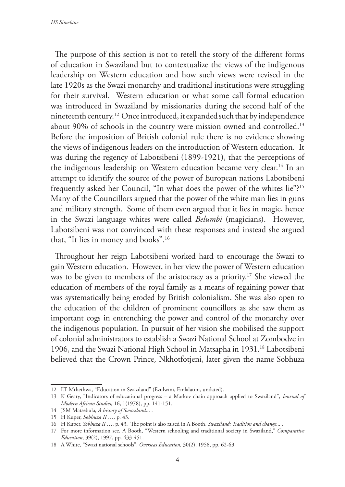*HS Simelane*

The purpose of this section is not to retell the story of the different forms of education in Swaziland but to contextualize the views of the indigenous leadership on Western education and how such views were revised in the late 1920s as the Swazi monarchy and traditional institutions were struggling for their survival. Western education or what some call formal education was introduced in Swaziland by missionaries during the second half of the nineteenth century.12 Once introduced, it expanded such that by independence about 90% of schools in the country were mission owned and controlled.13 Before the imposition of British colonial rule there is no evidence showing the views of indigenous leaders on the introduction of Western education. It was during the regency of Labotsibeni (1899-1921), that the perceptions of the indigenous leadership on Western education became very clear.<sup>14</sup> In an attempt to identify the source of the power of European nations Labotsibeni frequently asked her Council, "In what does the power of the whites lie"?15 Many of the Councillors argued that the power of the white man lies in guns and military strength. Some of them even argued that it lies in magic, hence in the Swazi language whites were called *Belumbi* (magicians). However, Labotsibeni was not convinced with these responses and instead she argued that, "It lies in money and books".16

Throughout her reign Labotsibeni worked hard to encourage the Swazi to gain Western education. However, in her view the power of Western education was to be given to members of the aristocracy as a priority.<sup>17</sup> She viewed the education of members of the royal family as a means of regaining power that was systematically being eroded by British colonialism. She was also open to the education of the children of prominent councillors as she saw them as important cogs in entrenching the power and control of the monarchy over the indigenous population. In pursuit of her vision she mobilised the support of colonial administrators to establish a Swazi National School at Zombodze in 1906, and the Swazi National High School in Matsapha in 1931.<sup>18</sup> Labotsibeni believed that the Crown Prince, Nkhotfotjeni, later given the name Sobhuza

<sup>12</sup> LT Mthethwa, "Education in Swaziland" (Ezulwini, Emlalatini, undated).

<sup>13</sup> K Geary, "Indicators of educational progress – a Markov chain approach applied to Swaziland", *Journal of Modern African Studies,* 16, 1(1978), pp. 141-151.

<sup>14</sup> JSM Matsebula, *A history of Swaziland*... .

<sup>15</sup> H Kuper, *Sobhuza II …,* p. 43.

<sup>16</sup> H Kuper, *Sobhuza II …,* p. 43.The point is also raised in A Booth, *Swaziland: Tradition and change*... .

<sup>17</sup> For more information see, A Booth, "Western schooling and traditional society in Swaziland," *Comparative Education*, 39(2), 1997, pp. 433-451.

<sup>18</sup> A White, "Swazi national schools", *Overseas Education,* 30(2), 1958, pp. 62-63.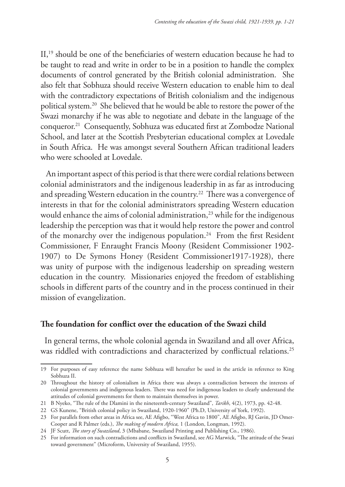II,19 should be one of the beneficiaries of western education because he had to be taught to read and write in order to be in a position to handle the complex documents of control generated by the British colonial administration. She also felt that Sobhuza should receive Western education to enable him to deal with the contradictory expectations of British colonialism and the indigenous political system.20 She believed that he would be able to restore the power of the Swazi monarchy if he was able to negotiate and debate in the language of the conqueror.21 Consequently, Sobhuza was educated first at Zombodze National School, and later at the Scottish Presbyterian educational complex at Lovedale in South Africa. He was amongst several Southern African traditional leaders who were schooled at Lovedale.

 An important aspect of this period is that there were cordial relations between colonial administrators and the indigenous leadership in as far as introducing and spreading Western education in the country.<sup>22</sup> There was a convergence of interests in that for the colonial administrators spreading Western education would enhance the aims of colonial administration,<sup>23</sup> while for the indigenous leadership the perception was that it would help restore the power and control of the monarchy over the indigenous population.<sup>24</sup> From the first Resident Commissioner, F Enraught Francis Moony (Resident Commissioner 1902- 1907) to De Symons Honey (Resident Commissioner1917-1928), there was unity of purpose with the indigenous leadership on spreading western education in the country. Missionaries enjoyed the freedom of establishing schools in different parts of the country and in the process continued in their mission of evangelization.

#### **The foundation for conflict over the education of the Swazi child**

In general terms, the whole colonial agenda in Swaziland and all over Africa, was riddled with contradictions and characterized by conflictual relations.<sup>25</sup>

<sup>19</sup> For purposes of easy reference the name Sobhuza will hereafter be used in the article in reference to King Sobhuza II.

<sup>20</sup> Throughout the history of colonialism in Africa there was always a contradiction between the interests of colonial governments and indigenous leaders. There was need for indigenous leaders to clearly understand the attitudes of colonial governments for them to maintain themselves in power.

<sup>21</sup> B Nyeko, "The rule of the Dlamini in the nineteenth-century Swaziland", *Tarikh*, 4(2), 1973, pp. 42-48.

<sup>22</sup> GS Kunene, "British colonial policy in Swaziland, 1920-1960" (Ph.D, University of York, 1992).

<sup>23</sup> For parallels from other areas in Africa see, AE Afigbo, "West Africa to 1800", AE Afigbo, RJ Gavin, JD Omer-Cooper and R Palmer (eds.), *The making of modern Africa,* 1 (London, Longman, 1992).

<sup>24</sup> JF Scutt, *The story of Swaziland*, 3 (Mbabane, Swaziland Printing and Publishing Co., 1986).

<sup>25</sup> For information on such contradictions and conflicts in Swaziland, see AG Marwick, "The attitude of the Swazi toward government" (Microform, University of Swaziland, 1955).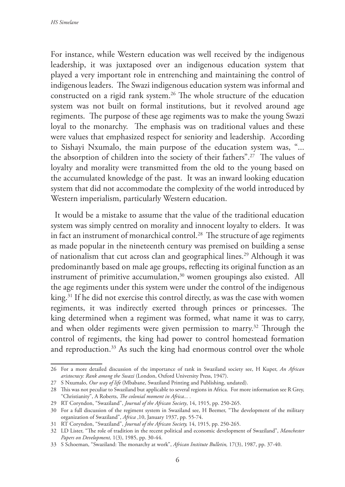For instance, while Western education was well received by the indigenous leadership, it was juxtaposed over an indigenous education system that played a very important role in entrenching and maintaining the control of indigenous leaders. The Swazi indigenous education system was informal and constructed on a rigid rank system.<sup>26</sup> The whole structure of the education system was not built on formal institutions, but it revolved around age regiments. The purpose of these age regiments was to make the young Swazi loyal to the monarchy. The emphasis was on traditional values and these were values that emphasized respect for seniority and leadership. According to Sishayi Nxumalo, the main purpose of the education system was, "... the absorption of children into the society of their fathers".27 The values of loyalty and morality were transmitted from the old to the young based on the accumulated knowledge of the past. It was an inward looking education system that did not accommodate the complexity of the world introduced by Western imperialism, particularly Western education.

It would be a mistake to assume that the value of the traditional education system was simply centred on morality and innocent loyalty to elders. It was in fact an instrument of monarchical control.<sup>28</sup> The structure of age regiments as made popular in the nineteenth century was premised on building a sense of nationalism that cut across clan and geographical lines.<sup>29</sup> Although it was predominantly based on male age groups, reflecting its original function as an instrument of primitive accumulation, $30$  women groupings also existed. All the age regiments under this system were under the control of the indigenous king.<sup>31</sup> If he did not exercise this control directly, as was the case with women regiments, it was indirectly exerted through princes or princesses. The king determined when a regiment was formed, what name it was to carry, and when older regiments were given permission to marry.32 Through the control of regiments, the king had power to control homestead formation and reproduction.<sup>33</sup> As such the king had enormous control over the whole

<sup>26</sup> For a more detailed discussion of the importance of rank in Swaziland society see, H Kuper, *An African aristocracy: Rank among the Swazi* (London, Oxford University Press, 1947).

<sup>27</sup> S Nxumalo, *Our way of life* (Mbabane, Swaziland Printing and Publishing, undated).

<sup>28</sup> This was not peculiar to Swaziland but applicable to several regions in Africa. For more information see R Grey, "Christianity", A Roberts, *The colonial moment in Africa... .*

<sup>29</sup> RT Coryndon, "Swaziland", *Journal of the African Society*, 14, 1915, pp. 250-265.

<sup>30</sup> For a full discussion of the regiment system in Swaziland see, H Beemer, "The development of the military organization of Swaziland", *Africa* ,10, January 1937, pp. 55-74.

<sup>31</sup> RT Coryndon, "Swaziland", *Journal of the African Society,* 14, 1915, pp. 250-265.

<sup>32</sup> LD Lister, "The role of tradition in the recent political and economic development of Swaziland", *Manchester Papers on Development,* 1(3), 1985, pp. 30-44.

<sup>33</sup> S Schoeman, "Swaziland: The monarchy at work", *African Institute Bulletin,* 17(3), 1987, pp. 37-40.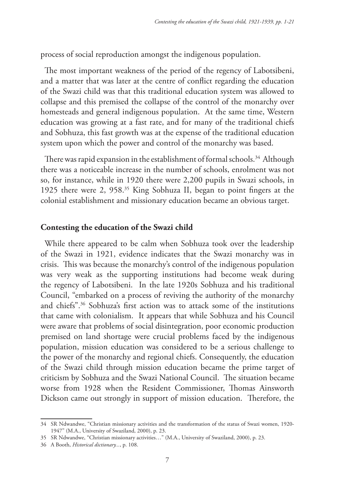process of social reproduction amongst the indigenous population.

The most important weakness of the period of the regency of Labotsibeni, and a matter that was later at the centre of conflict regarding the education of the Swazi child was that this traditional education system was allowed to collapse and this premised the collapse of the control of the monarchy over homesteads and general indigenous population. At the same time, Western education was growing at a fast rate, and for many of the traditional chiefs and Sobhuza, this fast growth was at the expense of the traditional education system upon which the power and control of the monarchy was based.

There was rapid expansion in the establishment of formal schools.<sup>34</sup> Although there was a noticeable increase in the number of schools, enrolment was not so, for instance, while in 1920 there were 2,200 pupils in Swazi schools, in 1925 there were 2, 958.35 King Sobhuza II, began to point fingers at the colonial establishment and missionary education became an obvious target.

## **Contesting the education of the Swazi child**

While there appeared to be calm when Sobhuza took over the leadership of the Swazi in 1921, evidence indicates that the Swazi monarchy was in crisis. This was because the monarchy's control of the indigenous population was very weak as the supporting institutions had become weak during the regency of Labotsibeni. In the late 1920s Sobhuza and his traditional Council, "embarked on a process of reviving the authority of the monarchy and chiefs".36 Sobhuza's first action was to attack some of the institutions that came with colonialism. It appears that while Sobhuza and his Council were aware that problems of social disintegration, poor economic production premised on land shortage were crucial problems faced by the indigenous population, mission education was considered to be a serious challenge to the power of the monarchy and regional chiefs. Consequently, the education of the Swazi child through mission education became the prime target of criticism by Sobhuza and the Swazi National Council. The situation became worse from 1928 when the Resident Commissioner, Thomas Ainsworth Dickson came out strongly in support of mission education. Therefore, the

<sup>34</sup> SR Ndwandwe, "Christian missionary activities and the transformation of the status of Swazi women, 1920- 1947" (M.A., University of Swaziland, 2000), p. 23.

<sup>35</sup> SR Ndwandwe, "Christian missionary activities…" (M.A., University of Swaziland, 2000), p. 23.

<sup>36</sup> A Booth, *Historical dictionary...*, p. 108.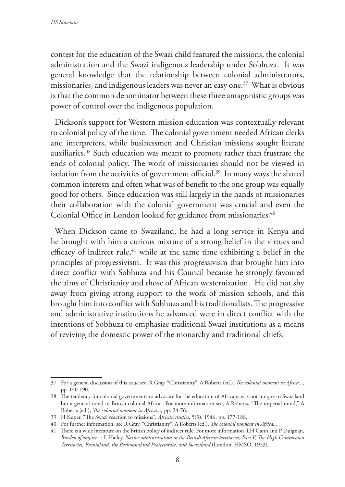contest for the education of the Swazi child featured the missions, the colonial administration and the Swazi indigenous leadership under Sobhuza. It was general knowledge that the relationship between colonial administrators, missionaries, and indigenous leaders was never an easy one.<sup>37</sup> What is obvious is that the common denominator between these three antagonistic groups was power of control over the indigenous population.

Dickson's support for Western mission education was contextually relevant to colonial policy of the time. The colonial government needed African clerks and interpreters, while businessmen and Christian missions sought literate auxiliaries.38 Such education was meant to promote rather than frustrate the ends of colonial policy. The work of missionaries should not be viewed in isolation from the activities of government official.<sup>39</sup> In many ways the shared common interests and often what was of benefit to the one group was equally good for others. Since education was still largely in the hands of missionaries their collaboration with the colonial government was crucial and even the Colonial Office in London looked for guidance from missionaries.<sup>40</sup>

When Dickson came to Swaziland, he had a long service in Kenya and he brought with him a curious mixture of a strong belief in the virtues and efficacy of indirect rule, $41$  while at the same time exhibiting a belief in the principles of progressivism. It was this progressivism that brought him into direct conflict with Sobhuza and his Council because he strongly favoured the aims of Christianity and those of African westernization. He did not shy away from giving strong support to the work of mission schools, and this brought him into conflict with Sobhuza and his traditionalists. The progressive and administrative institutions he advanced were in direct conflict with the intentions of Sobhuza to emphasize traditional Swazi institutions as a means of reviving the domestic power of the monarchy and traditional chiefs.

<sup>37</sup> For a general discussion of this issue see, R Gray, "Christianity", A Roberts (ed.), *The colonial moment in Africa...,*  pp. 140-190.

<sup>38</sup> The tendency for colonial governments to advocate for the education of Africans was not unique to Swaziland but a general trend in British colonial Africa. For more information see, A Roberts, "The imperial mind," A Roberts (ed.), *The colonial moment in Africa...,* pp. 24-76.

<sup>39</sup> H Kuper, "The Swazi reaction to missions", *African studies*, 5(3), 1946, pp. 177-188.

<sup>40</sup> For further information, see R Gray, "Christianity", A Roberts (ed.), *The colonial moment in Africa... .*

<sup>41</sup> There is a wide literature on the British policy of indirect rule. For more information, LH Gann and P Duignan, *Burden of empire...*; L Hailey, *Native administration in the British African territories, Part V, The High Commission Territories, Basutoland, the Bechuanaland Protectorate, and Swaziland* (London, HMSO, 1953).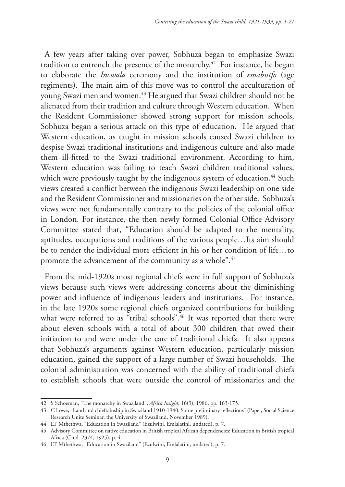A few years after taking over power, Sobhuza began to emphasize Swazi tradition to entrench the presence of the monarchy.42 For instance, he began to elaborate the *Incwala* ceremony and the institution of *emabutfo* (age regiments). The main aim of this move was to control the acculturation of young Swazi men and women.43 He argued that Swazi children should not be alienated from their tradition and culture through Western education. When the Resident Commissioner showed strong support for mission schools, Sobhuza began a serious attack on this type of education. He argued that Western education, as taught in mission schools caused Swazi children to despise Swazi traditional institutions and indigenous culture and also made them ill-fitted to the Swazi traditional environment. According to him, Western education was failing to teach Swazi children traditional values, which were previously taught by the indigenous system of education.<sup>44</sup> Such views created a conflict between the indigenous Swazi leadership on one side and the Resident Commissioner and missionaries on the other side. Sobhuza's views were not fundamentally contrary to the policies of the colonial office in London. For instance, the then newly formed Colonial Office Advisory Committee stated that, "Education should be adapted to the mentality, aptitudes, occupations and traditions of the various people…Its aim should be to render the individual more efficient in his or her condition of life…to promote the advancement of the community as a whole".45

From the mid-1920s most regional chiefs were in full support of Sobhuza's views because such views were addressing concerns about the diminishing power and influence of indigenous leaders and institutions. For instance, in the late 1920s some regional chiefs organized contributions for building what were referred to as "tribal schools".<sup>46</sup> It was reported that there were about eleven schools with a total of about 300 children that owed their initiation to and were under the care of traditional chiefs. It also appears that Sobhuza's arguments against Western education, particularly mission education, gained the support of a large number of Swazi households. The colonial administration was concerned with the ability of traditional chiefs to establish schools that were outside the control of missionaries and the

<sup>42</sup> S Schoeman, "The monarchy in Swaziland", *Africa Insight*, 16(3), 1986, pp. 163-175.

<sup>43</sup> C Lowe, "Land and chieftainship in Swaziland 1910-1940: Some preliminary reflections" (Paper, Social Science Research Unite Seminar, the University of Swaziland, November 1989).

<sup>44</sup> LT Mthethwa, "Education in Swaziland" (Ezulwini, Emlalatini, undated), p. 7.

<sup>45</sup> Advisory Committee on native education in British tropical African dependencies: Education in British tropical Africa (Cmd. 2374, 1925), p. 4.

<sup>46</sup> LT Mthethwa, "Education in Swaziland" (Ezulwini, Emlalatini, undated), p. 7.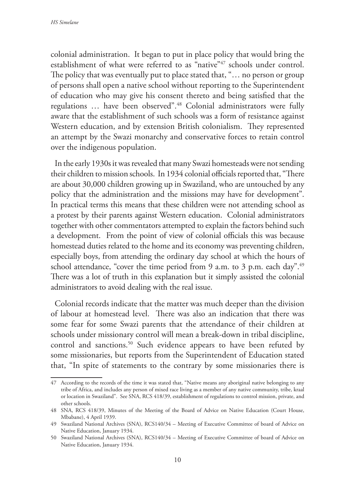colonial administration. It began to put in place policy that would bring the establishment of what were referred to as "native"<sup>47</sup> schools under control. The policy that was eventually put to place stated that, "… no person or group of persons shall open a native school without reporting to the Superintendent of education who may give his consent thereto and being satisfied that the regulations … have been observed".48 Colonial administrators were fully aware that the establishment of such schools was a form of resistance against Western education, and by extension British colonialism. They represented an attempt by the Swazi monarchy and conservative forces to retain control over the indigenous population.

In the early 1930s it was revealed that many Swazi homesteads were not sending their children to mission schools. In 1934 colonial officials reported that, "There are about 30,000 children growing up in Swaziland, who are untouched by any policy that the administration and the missions may have for development". In practical terms this means that these children were not attending school as a protest by their parents against Western education. Colonial administrators together with other commentators attempted to explain the factors behind such a development. From the point of view of colonial officials this was because homestead duties related to the home and its economy was preventing children, especially boys, from attending the ordinary day school at which the hours of school attendance, "cover the time period from 9 a.m. to 3 p.m. each day".<sup>49</sup> There was a lot of truth in this explanation but it simply assisted the colonial administrators to avoid dealing with the real issue.

Colonial records indicate that the matter was much deeper than the division of labour at homestead level. There was also an indication that there was some fear for some Swazi parents that the attendance of their children at schools under missionary control will mean a break-down in tribal discipline, control and sanctions.<sup>50</sup> Such evidence appears to have been refuted by some missionaries, but reports from the Superintendent of Education stated that, "In spite of statements to the contrary by some missionaries there is

<sup>47</sup> According to the records of the time it was stated that, "Native means any aboriginal native belonging to any tribe of Africa, and includes any person of mixed race living as a member of any native community, tribe, kraal or location in Swaziland". See SNA, RCS 418/39, establishment of regulations to control mission, private, and other schools.

<sup>48</sup> SNA, RCS 418/39, Minutes of the Meeting of the Board of Advice on Native Education (Court House, Mbabane), 4 April 1939.

<sup>49</sup> Swaziland National Archives (SNA), RCS140/34 – Meeting of Executive Committee of board of Advice on Native Education, January 1934.

<sup>50</sup> Swaziland National Archives (SNA), RCS140/34 – Meeting of Executive Committee of board of Advice on Native Education, January 1934.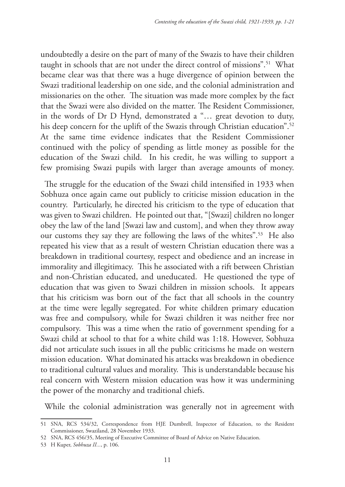undoubtedly a desire on the part of many of the Swazis to have their children taught in schools that are not under the direct control of missions".<sup>51</sup> What became clear was that there was a huge divergence of opinion between the Swazi traditional leadership on one side, and the colonial administration and missionaries on the other. The situation was made more complex by the fact that the Swazi were also divided on the matter. The Resident Commissioner, in the words of Dr D Hynd, demonstrated a "… great devotion to duty, his deep concern for the uplift of the Swazis through Christian education".<sup>52</sup> At the same time evidence indicates that the Resident Commissioner continued with the policy of spending as little money as possible for the education of the Swazi child. In his credit, he was willing to support a few promising Swazi pupils with larger than average amounts of money.

The struggle for the education of the Swazi child intensified in 1933 when Sobhuza once again came out publicly to criticise mission education in the country. Particularly, he directed his criticism to the type of education that was given to Swazi children. He pointed out that, "[Swazi] children no longer obey the law of the land [Swazi law and custom], and when they throw away our customs they say they are following the laws of the whites".53 He also repeated his view that as a result of western Christian education there was a breakdown in traditional courtesy, respect and obedience and an increase in immorality and illegitimacy. This he associated with a rift between Christian and non-Christian educated, and uneducated. He questioned the type of education that was given to Swazi children in mission schools. It appears that his criticism was born out of the fact that all schools in the country at the time were legally segregated. For white children primary education was free and compulsory, while for Swazi children it was neither free nor compulsory. This was a time when the ratio of government spending for a Swazi child at school to that for a white child was 1:18. However, Sobhuza did not articulate such issues in all the public criticisms he made on western mission education. What dominated his attacks was breakdown in obedience to traditional cultural values and morality. This is understandable because his real concern with Western mission education was how it was undermining the power of the monarchy and traditional chiefs.

While the colonial administration was generally not in agreement with

<sup>51</sup> SNA, RCS 534/32, Correspondence from HJE Dumbrell, Inspector of Education, to the Resident Commissioner, Swaziland, 28 November 1933.

<sup>52</sup> SNA, RCS 456/35, Meeting of Executive Committee of Board of Advice on Native Education.

<sup>53</sup> H Kuper, *Sobhuza II...*, p. 106.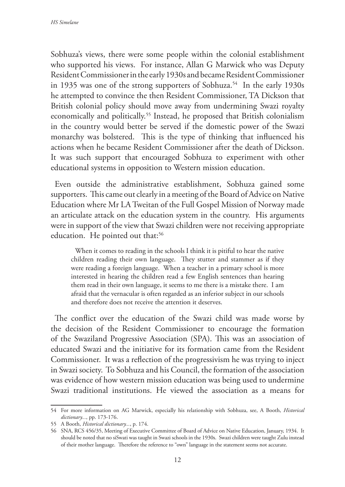Sobhuza's views, there were some people within the colonial establishment who supported his views. For instance, Allan G Marwick who was Deputy Resident Commissioner in the early 1930s and became Resident Commissioner in 1935 was one of the strong supporters of Sobhuza.<sup>54</sup> In the early 1930s he attempted to convince the then Resident Commissioner, TA Dickson that British colonial policy should move away from undermining Swazi royalty economically and politically.<sup>55</sup> Instead, he proposed that British colonialism in the country would better be served if the domestic power of the Swazi monarchy was bolstered. This is the type of thinking that influenced his actions when he became Resident Commissioner after the death of Dickson. It was such support that encouraged Sobhuza to experiment with other educational systems in opposition to Western mission education.

Even outside the administrative establishment, Sobhuza gained some supporters. This came out clearly in a meeting of the Board of Advice on Native Education where Mr LA Tweitan of the Full Gospel Mission of Norway made an articulate attack on the education system in the country. His arguments were in support of the view that Swazi children were not receiving appropriate education. He pointed out that:<sup>56</sup>

When it comes to reading in the schools I think it is pitiful to hear the native children reading their own language. They stutter and stammer as if they were reading a foreign language. When a teacher in a primary school is more interested in hearing the children read a few English sentences than hearing them read in their own language, it seems to me there is a mistake there. I am afraid that the vernacular is often regarded as an inferior subject in our schools and therefore does not receive the attention it deserves.

The conflict over the education of the Swazi child was made worse by the decision of the Resident Commissioner to encourage the formation of the Swaziland Progressive Association (SPA). This was an association of educated Swazi and the initiative for its formation came from the Resident Commissioner. It was a reflection of the progressivism he was trying to inject in Swazi society. To Sobhuza and his Council, the formation of the association was evidence of how western mission education was being used to undermine Swazi traditional institutions. He viewed the association as a means for

<sup>54</sup> For more information on AG Marwick, especially his relationship with Sobhuza, see, A Booth, *Historical dictionary...*, pp. 173-176.

<sup>55</sup> A Booth, *Historical dictionary...*, p. 174.

<sup>56</sup> SNA, RCS 456/35, Meeting of Executive Committee of Board of Advice on Native Education, January, 1934. It should be noted that no siSwati was taught in Swazi schools in the 1930s. Swazi children were taught Zulu instead of their mother language. Therefore the reference to "own" language in the statement seems not accurate.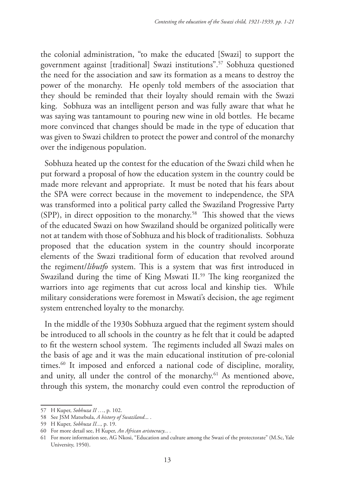the colonial administration, "to make the educated [Swazi] to support the government against [traditional] Swazi institutions".57 Sobhuza questioned the need for the association and saw its formation as a means to destroy the power of the monarchy. He openly told members of the association that they should be reminded that their loyalty should remain with the Swazi king. Sobhuza was an intelligent person and was fully aware that what he was saying was tantamount to pouring new wine in old bottles. He became more convinced that changes should be made in the type of education that was given to Swazi children to protect the power and control of the monarchy over the indigenous population.

Sobhuza heated up the contest for the education of the Swazi child when he put forward a proposal of how the education system in the country could be made more relevant and appropriate. It must be noted that his fears about the SPA were correct because in the movement to independence, the SPA was transformed into a political party called the Swaziland Progressive Party (SPP), in direct opposition to the monarchy.58 This showed that the views of the educated Swazi on how Swaziland should be organized politically were not at tandem with those of Sobhuza and his block of traditionalists. Sobhuza proposed that the education system in the country should incorporate elements of the Swazi traditional form of education that revolved around the regiment/*libutfo* system. This is a system that was first introduced in Swaziland during the time of King Mswati II.<sup>59</sup> The king reorganized the warriors into age regiments that cut across local and kinship ties. While military considerations were foremost in Mswati's decision, the age regiment system entrenched loyalty to the monarchy.

In the middle of the 1930s Sobhuza argued that the regiment system should be introduced to all schools in the country as he felt that it could be adapted to fit the western school system. The regiments included all Swazi males on the basis of age and it was the main educational institution of pre-colonial times.<sup>60</sup> It imposed and enforced a national code of discipline, morality, and unity, all under the control of the monarchy.<sup>61</sup> As mentioned above, through this system, the monarchy could even control the reproduction of

<sup>57</sup> H Kuper, *Sobhuza II …*, p. 102.

<sup>58</sup> See JSM Matsebula, *A history of Swaziland*... .

<sup>59</sup> H Kuper, *Sobhuza II...,* p. 19.

<sup>60</sup> For more detail see, H Kuper, *An African aristocracy... .*

<sup>61</sup> For more information see, AG Nkosi, "Education and culture among the Swazi of the protectorate" (M.Sc, Yale University, 1950).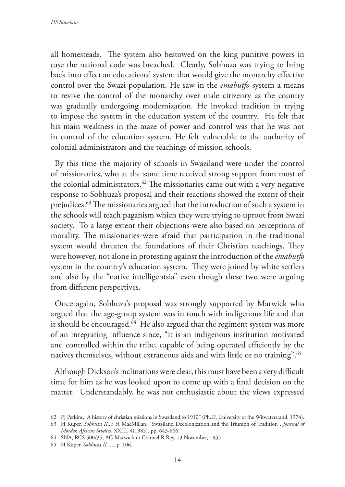all homesteads. The system also bestowed on the king punitive powers in case the national code was breached. Clearly, Sobhuza was trying to bring back into effect an educational system that would give the monarchy effective control over the Swazi population. He saw in the *emabutfo* system a means to revive the control of the monarchy over male citizenry as the country was gradually undergoing modernization. He invoked tradition in trying to impose the system in the education system of the country. He felt that his main weakness in the maze of power and control was that he was not in control of the education system. He felt vulnerable to the authority of colonial administrators and the teachings of mission schools.

By this time the majority of schools in Swaziland were under the control of missionaries, who at the same time received strong support from most of the colonial administrators. $62$  The missionaries came out with a very negative response to Sobhuza's proposal and their reactions showed the extent of their prejudices.63 The missionaries argued that the introduction of such a system in the schools will teach paganism which they were trying to uproot from Swazi society. To a large extent their objections were also based on perceptions of morality. The missionaries were afraid that participation in the traditional system would threaten the foundations of their Christian teachings. They were however, not alone in protesting against the introduction of the *emabutfo* system in the country's education system. They were joined by white settlers and also by the "native intelligentsia" even though these two were arguing from different perspectives.

Once again, Sobhuza's proposal was strongly supported by Marwick who argued that the age-group system was in touch with indigenous life and that it should be encouraged.<sup>64</sup> He also argued that the regiment system was more of an integrating influence since, "it is an indigenous institution motivated and controlled within the tribe, capable of being operated efficiently by the natives themselves, without extraneous aids and with little or no training".65

Although Dickson's inclinations were clear, this must have been a very difficult time for him as he was looked upon to come up with a final decision on the matter. Understandably, he was not enthusiastic about the views expressed

<sup>62</sup> FJ Perkins, "A history of christian missions in Swaziland to 1910" (Ph.D, University of the Witwatersrand, 1974).

<sup>63</sup> H Kuper, *Sobhuza II..*.; H MacMillan, "Swaziland Decolonization and the Triumph of Tradition", *Journal of Morden African Studies*, XXIII, 4(1985), pp. 643-666.

<sup>64</sup> SNA, RCS 500/35, AG Marwick to Colonel R Rey, 13 November, 1935.

<sup>65</sup> H Kuper, *Sobhuza II …*, p. 106.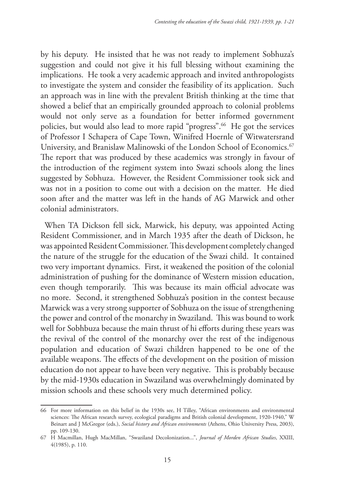by his deputy. He insisted that he was not ready to implement Sobhuza's suggestion and could not give it his full blessing without examining the implications. He took a very academic approach and invited anthropologists to investigate the system and consider the feasibility of its application. Such an approach was in line with the prevalent British thinking at the time that showed a belief that an empirically grounded approach to colonial problems would not only serve as a foundation for better informed government policies, but would also lead to more rapid "progress".66 He got the services of Professor I Schapera of Cape Town, Winifred Hoernle of Witwatersrand University, and Branislaw Malinowski of the London School of Economics.<sup>67</sup> The report that was produced by these academics was strongly in favour of the introduction of the regiment system into Swazi schools along the lines suggested by Sobhuza. However, the Resident Commissioner took sick and was not in a position to come out with a decision on the matter. He died soon after and the matter was left in the hands of AG Marwick and other colonial administrators.

When TA Dickson fell sick, Marwick, his deputy, was appointed Acting Resident Commissioner, and in March 1935 after the death of Dickson, he was appointed Resident Commissioner. This development completely changed the nature of the struggle for the education of the Swazi child. It contained two very important dynamics. First, it weakened the position of the colonial administration of pushing for the dominance of Western mission education, even though temporarily. This was because its main official advocate was no more. Second, it strengthened Sobhuza's position in the contest because Marwick was a very strong supporter of Sobhuza on the issue of strengthening the power and control of the monarchy in Swaziland. This was bound to work well for Sobhbuza because the main thrust of hi efforts during these years was the revival of the control of the monarchy over the rest of the indigenous population and education of Swazi children happened to be one of the available weapons. The effects of the development on the position of mission education do not appear to have been very negative. This is probably because by the mid-1930s education in Swaziland was overwhelmingly dominated by mission schools and these schools very much determined policy.

<sup>66</sup> For more information on this belief in the 1930s see, H Tilley, "African environments and environmental sciences: The African research survey, ecological paradigms and British colonial development, 1920-1940," W Beinart and J McGregor (eds.), *Social history and African environments* (Athens, Ohio University Press, 2003), pp. 109-130.

<sup>67</sup> H Macmillan, Hugh MacMillan, "Swaziland Decolonization...", *Journal of Morden African Studies*, XXIII, 4(1985), p. 110.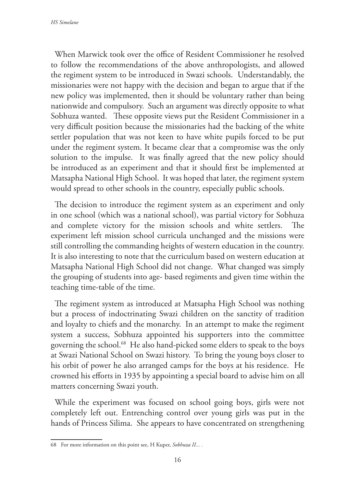When Marwick took over the office of Resident Commissioner he resolved to follow the recommendations of the above anthropologists, and allowed the regiment system to be introduced in Swazi schools. Understandably, the missionaries were not happy with the decision and began to argue that if the new policy was implemented, then it should be voluntary rather than being nationwide and compulsory. Such an argument was directly opposite to what Sobhuza wanted. These opposite views put the Resident Commissioner in a very difficult position because the missionaries had the backing of the white settler population that was not keen to have white pupils forced to be put under the regiment system. It became clear that a compromise was the only solution to the impulse. It was finally agreed that the new policy should be introduced as an experiment and that it should first be implemented at Matsapha National High School. It was hoped that later, the regiment system would spread to other schools in the country, especially public schools.

The decision to introduce the regiment system as an experiment and only in one school (which was a national school), was partial victory for Sobhuza and complete victory for the mission schools and white settlers. The experiment left mission school curricula unchanged and the missions were still controlling the commanding heights of western education in the country. It is also interesting to note that the curriculum based on western education at Matsapha National High School did not change. What changed was simply the grouping of students into age- based regiments and given time within the teaching time-table of the time.

The regiment system as introduced at Matsapha High School was nothing but a process of indoctrinating Swazi children on the sanctity of tradition and loyalty to chiefs and the monarchy. In an attempt to make the regiment system a success, Sobhuza appointed his supporters into the committee governing the school.<sup>68</sup> He also hand-picked some elders to speak to the boys at Swazi National School on Swazi history. To bring the young boys closer to his orbit of power he also arranged camps for the boys at his residence. He crowned his efforts in 1935 by appointing a special board to advise him on all matters concerning Swazi youth.

While the experiment was focused on school going boys, girls were not completely left out. Entrenching control over young girls was put in the hands of Princess Silima. She appears to have concentrated on strengthening

<sup>68</sup> For more information on this point see, H Kuper, *Sobhuza II... .*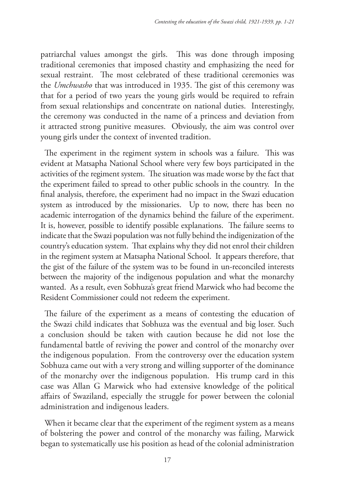patriarchal values amongst the girls. This was done through imposing traditional ceremonies that imposed chastity and emphasizing the need for sexual restraint. The most celebrated of these traditional ceremonies was the *Umchwasho* that was introduced in 1935. The gist of this ceremony was that for a period of two years the young girls would be required to refrain from sexual relationships and concentrate on national duties. Interestingly, the ceremony was conducted in the name of a princess and deviation from it attracted strong punitive measures. Obviously, the aim was control over young girls under the context of invented tradition.

The experiment in the regiment system in schools was a failure. This was evident at Matsapha National School where very few boys participated in the activities of the regiment system. The situation was made worse by the fact that the experiment failed to spread to other public schools in the country. In the final analysis, therefore, the experiment had no impact in the Swazi education system as introduced by the missionaries. Up to now, there has been no academic interrogation of the dynamics behind the failure of the experiment. It is, however, possible to identify possible explanations. The failure seems to indicate that the Swazi population was not fully behind the indigenization of the country's education system. That explains why they did not enrol their children in the regiment system at Matsapha National School. It appears therefore, that the gist of the failure of the system was to be found in un-reconciled interests between the majority of the indigenous population and what the monarchy wanted. As a result, even Sobhuza's great friend Marwick who had become the Resident Commissioner could not redeem the experiment.

The failure of the experiment as a means of contesting the education of the Swazi child indicates that Sobhuza was the eventual and big loser. Such a conclusion should be taken with caution because he did not lose the fundamental battle of reviving the power and control of the monarchy over the indigenous population. From the controversy over the education system Sobhuza came out with a very strong and willing supporter of the dominance of the monarchy over the indigenous population. His trump card in this case was Allan G Marwick who had extensive knowledge of the political affairs of Swaziland, especially the struggle for power between the colonial administration and indigenous leaders.

When it became clear that the experiment of the regiment system as a means of bolstering the power and control of the monarchy was failing, Marwick began to systematically use his position as head of the colonial administration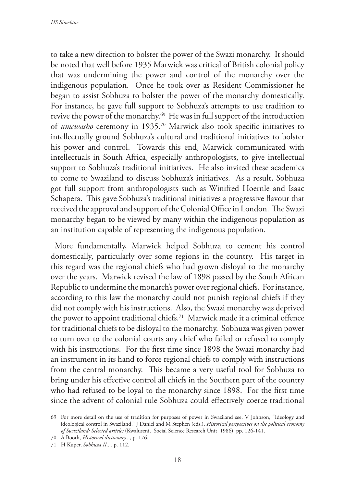to take a new direction to bolster the power of the Swazi monarchy. It should be noted that well before 1935 Marwick was critical of British colonial policy that was undermining the power and control of the monarchy over the indigenous population. Once he took over as Resident Commissioner he began to assist Sobhuza to bolster the power of the monarchy domestically. For instance, he gave full support to Sobhuza's attempts to use tradition to revive the power of the monarchy.69 He was in full support of the introduction of *umcwasho* ceremony in 1935.70 Marwick also took specific initiatives to intellectually ground Sobhuza's cultural and traditional initiatives to bolster his power and control. Towards this end, Marwick communicated with intellectuals in South Africa, especially anthropologists, to give intellectual support to Sobhuza's traditional initiatives. He also invited these academics to come to Swaziland to discuss Sobhuza's initiatives. As a result, Sobhuza got full support from anthropologists such as Winifred Hoernle and Isaac Schapera. This gave Sobhuza's traditional initiatives a progressive flavour that received the approval and support of the Colonial Office in London. The Swazi monarchy began to be viewed by many within the indigenous population as an institution capable of representing the indigenous population.

More fundamentally, Marwick helped Sobhuza to cement his control domestically, particularly over some regions in the country. His target in this regard was the regional chiefs who had grown disloyal to the monarchy over the years. Marwick revised the law of 1898 passed by the South African Republic to undermine the monarch's power over regional chiefs. For instance, according to this law the monarchy could not punish regional chiefs if they did not comply with his instructions. Also, the Swazi monarchy was deprived the power to appoint traditional chiefs.<sup>71</sup> Marwick made it a criminal offence for traditional chiefs to be disloyal to the monarchy. Sobhuza was given power to turn over to the colonial courts any chief who failed or refused to comply with his instructions. For the first time since 1898 the Swazi monarchy had an instrument in its hand to force regional chiefs to comply with instructions from the central monarchy. This became a very useful tool for Sobhuza to bring under his effective control all chiefs in the Southern part of the country who had refused to be loyal to the monarchy since 1898. For the first time since the advent of colonial rule Sobhuza could effectively coerce traditional

<sup>69</sup> For more detail on the use of tradition for purposes of power in Swaziland see, V Johnson, "Ideology and ideological control in Swaziland," J Daniel and M Stephen (eds.), *Historical perspectives on the political economy of Swaziland: Selected articles* (Kwaluseni, Social Science Research Unit, 1986), pp. 126-141.

<sup>70</sup> A Booth, *Historical dictionary...*, p. 176.

<sup>71</sup> H Kuper, *Sobhuza II...*, p. 112.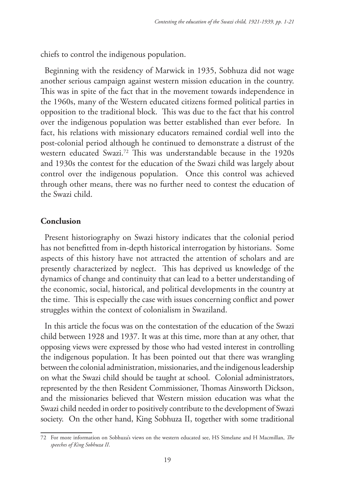chiefs to control the indigenous population.

Beginning with the residency of Marwick in 1935, Sobhuza did not wage another serious campaign against western mission education in the country. This was in spite of the fact that in the movement towards independence in the 1960s, many of the Western educated citizens formed political parties in opposition to the traditional block. This was due to the fact that his control over the indigenous population was better established than ever before. In fact, his relations with missionary educators remained cordial well into the post-colonial period although he continued to demonstrate a distrust of the western educated Swazi.72 This was understandable because in the 1920s and 1930s the contest for the education of the Swazi child was largely about control over the indigenous population. Once this control was achieved through other means, there was no further need to contest the education of the Swazi child.

# **Conclusion**

Present historiography on Swazi history indicates that the colonial period has not benefitted from in-depth historical interrogation by historians. Some aspects of this history have not attracted the attention of scholars and are presently characterized by neglect. This has deprived us knowledge of the dynamics of change and continuity that can lead to a better understanding of the economic, social, historical, and political developments in the country at the time. This is especially the case with issues concerning conflict and power struggles within the context of colonialism in Swaziland.

In this article the focus was on the contestation of the education of the Swazi child between 1928 and 1937. It was at this time, more than at any other, that opposing views were expressed by those who had vested interest in controlling the indigenous population. It has been pointed out that there was wrangling between the colonial administration, missionaries, and the indigenous leadership on what the Swazi child should be taught at school. Colonial administrators, represented by the then Resident Commissioner, Thomas Ainsworth Dickson, and the missionaries believed that Western mission education was what the Swazi child needed in order to positively contribute to the development of Swazi society. On the other hand, King Sobhuza II, together with some traditional

<sup>72</sup> For more information on Sobhuza's views on the western educated see, HS Simelane and H Macmillan, *The speeches of King Sobhuza II*.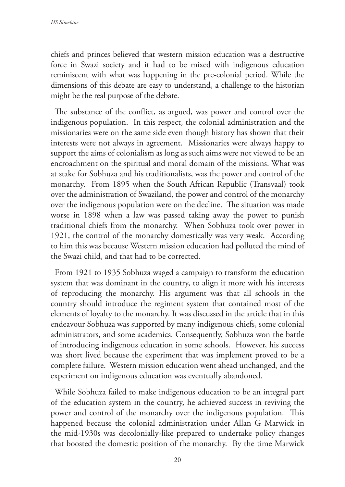chiefs and princes believed that western mission education was a destructive force in Swazi society and it had to be mixed with indigenous education reminiscent with what was happening in the pre-colonial period. While the dimensions of this debate are easy to understand, a challenge to the historian might be the real purpose of the debate.

The substance of the conflict, as argued, was power and control over the indigenous population. In this respect, the colonial administration and the missionaries were on the same side even though history has shown that their interests were not always in agreement. Missionaries were always happy to support the aims of colonialism as long as such aims were not viewed to be an encroachment on the spiritual and moral domain of the missions. What was at stake for Sobhuza and his traditionalists, was the power and control of the monarchy. From 1895 when the South African Republic (Transvaal) took over the administration of Swaziland, the power and control of the monarchy over the indigenous population were on the decline. The situation was made worse in 1898 when a law was passed taking away the power to punish traditional chiefs from the monarchy. When Sobhuza took over power in 1921, the control of the monarchy domestically was very weak. According to him this was because Western mission education had polluted the mind of the Swazi child, and that had to be corrected.

From 1921 to 1935 Sobhuza waged a campaign to transform the education system that was dominant in the country, to align it more with his interests of reproducing the monarchy. His argument was that all schools in the country should introduce the regiment system that contained most of the elements of loyalty to the monarchy. It was discussed in the article that in this endeavour Sobhuza was supported by many indigenous chiefs, some colonial administrators, and some academics. Consequently, Sobhuza won the battle of introducing indigenous education in some schools. However, his success was short lived because the experiment that was implement proved to be a complete failure. Western mission education went ahead unchanged, and the experiment on indigenous education was eventually abandoned.

While Sobhuza failed to make indigenous education to be an integral part of the education system in the country, he achieved success in reviving the power and control of the monarchy over the indigenous population. This happened because the colonial administration under Allan G Marwick in the mid-1930s was decolonially-like prepared to undertake policy changes that boosted the domestic position of the monarchy. By the time Marwick